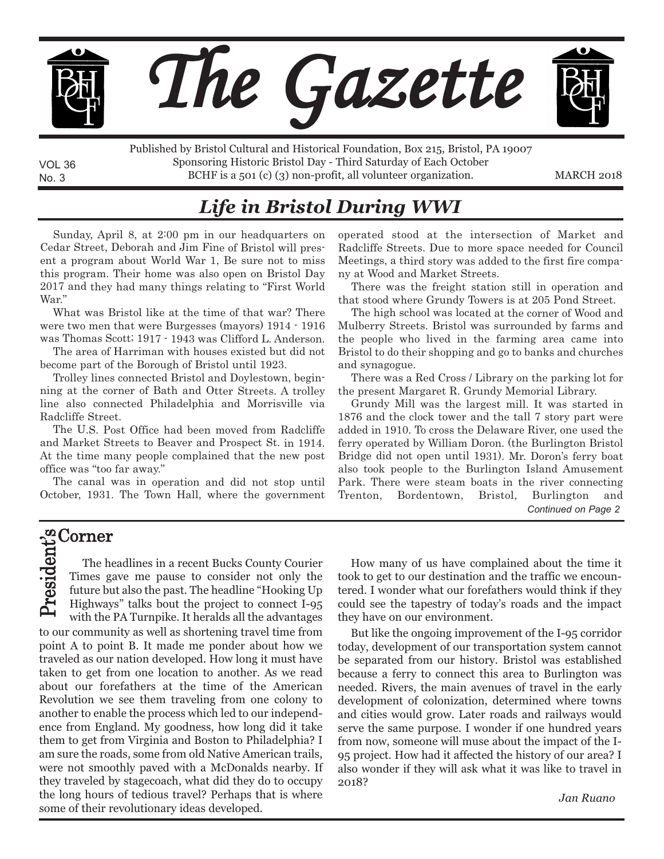

No. 3 BCHF is a 501 (c) (3) non-profit, all volunteer organization. MARCH 2018 Published by Bristol Cultural and Historical Foundation, Box 215, Bristol, PA 19007 Sponsoring Historic Bristol Day - Third Saturday of Each October

## *Life in Bristol During WWI*

Sunday, April 8, at 2:00 pm in our headquarters on Cedar Street, Deborah and Jim Fine of Bristol will present <sup>a</sup> program about World War 1, Be sure not to miss this program. Their home was also open on Bristol Day 2017 and they had many things relating to "First World War."

What was Bristol like at the time of that war? There were two men that were Burgesses (mayors) <sup>1914</sup> - <sup>1916</sup> was Thomas Scott; 1917 - 1943 was Clifford L. Anderson.

The area of Harriman with houses existed but did not become part of the Borough of Bristol until 1923.

Trolley lines connected Bristol and Doylestown, beginning at the corner of Bath and Otter Streets. A trolley line also connected Philadelphia and Morrisville via Radcliffe Street.

The U.S. Post Office had been moved from Radcliffe and Market Streets to Beaver and Prospect St. in 1914. At the time many people complained that the new post office was "too far away."

The canal was in operation and did not stop until October, 1931. The Town Hall, where the government operated stood at the intersection of Market and Radcliffe Streets. Due to more space needed for Council Meetings, <sup>a</sup> third story was added to the first fire company at Wood and Market Streets.

There was the freight station still in operation and that stood where Grundy Towers is at 205 Pond Street.

The high school was located at the corner of Wood and Mulberry Streets. Bristol was surrounded by farms and the people who lived in the farming area came into Bristol to do their shopping and go to banks and churches and synagogue.

There was <sup>a</sup> Red Cross / Library on the parking lot for the present Margaret R. Grundy Memorial Library.

Grundy Mill was the largest mill. It was started in 1876 and the clock tower and the tall 7 story part were added in 1910. To cross the Delaware River, one used the ferry operated by William Doron. (the Burlington Bristol Bridge did not open until 1931). Mr. Doron's ferry boat also took people to the Burlington Island Amusement Park. There were steam boats in the river connecting Trenton, Bordentown, Bristol, Burlington and *Continued on Page 2*

#### Corner n ົນ<br>ີ

VOL 36

 $\blacktriangle$ r ه ِم ፲፰<br>·ਜ e to our community as well as shortening travel time from point A to point B. It made me ponder about how we traveled as our nation developed. How long it must have taken to get from one location to another. As we read about our forefathers at the time of the American Revolution we see them traveling from one colony to another to enable the process which led to our independence from England. My goodness, how long did it take them to get from Virginia and Boston to Philadelphia? I am sure the roads, some from old Native American trails, were not smoothly paved with a McDonalds nearby. If they traveled by stagecoach, what did they do to occupy the long hours of tedious travel? Perhaps that is where some of their revolutionary ideas developed. The headlines in a recent Bucks County Courier Times gave me pause to consider not only the future but also the past. The headline "Hooking Up Highways" talks bout the project to connect I-95 with the PA Turnpike. It heralds all the advantages

How many of us have complained about the time it took to get to our destination and the traffic we encountered. I wonder what our forefathers would think if they could see the tapestry of today's roads and the impact they have on our environment.

But like the ongoing improvement of the I-95 corridor today, development of our transportation system cannot be separated from our history. Bristol was established because a ferry to connect this area to Burlington was needed. Rivers, the main avenues of travel in the early development of colonization, determined where towns and cities would grow. Later roads and railways would serve the same purpose. I wonder if one hundred years from now, someone will muse about the impact of the I-95 project. How had it affected the history of our area? I also wonder if they will ask what it was like to travel in 2018?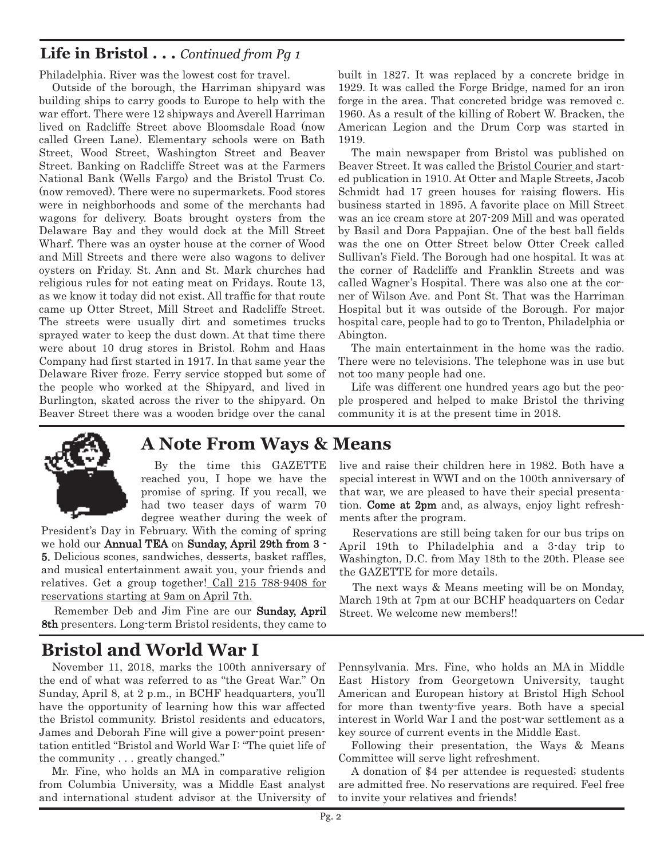### **Life in Bristol . . .** *Continued from Pg 1*

Philadelphia. River was the lowest cost for travel.

Outside of the borough, the Harriman shipyard was building ships to carry goods to Europe to help with the war effort. There were 12 shipways and Averell Harriman lived on Radcliffe Street above Bloomsdale Road (now called Green Lane). Elementary schools were on Bath Street, Wood Street, Washington Street and Beaver Street. Banking on Radcliffe Street was at the Farmers National Bank (Wells Fargo) and the Bristol Trust Co. (now removed). There were no supermarkets. Food stores were in neighborhoods and some of the merchants had wagons for delivery. Boats brought oysters from the Delaware Bay and they would dock at the Mill Street Wharf. There was an oyster house at the corner of Wood and Mill Streets and there were also wagons to deliver oysters on Friday. St. Ann and St. Mark churches had religious rules for not eating meat on Fridays. Route 13, as we know it today did not exist. All traffic for that route came up Otter Street, Mill Street and Radcliffe Street. The streets were usually dirt and sometimes trucks sprayed water to keep the dust down. At that time there were about 10 drug stores in Bristol. Rohm and Haas Company had first started in 1917. In that same year the Delaware River froze. Ferry service stopped but some of the people who worked at the Shipyard, and lived in Burlington, skated across the river to the shipyard. On Beaver Street there was a wooden bridge over the canal built in 1827. It was replaced by a concrete bridge in 1929. It was called the Forge Bridge, named for an iron forge in the area. That concreted bridge was removed c. 1960. As a result of the killing of Robert W. Bracken, the American Legion and the Drum Corp was started in 1919.

The main newspaper from Bristol was published on Beaver Street. It was called the Bristol Courier and started publication in 1910. At Otter and Maple Streets, Jacob Schmidt had 17 green houses for raising flowers. His business started in 1895. A favorite place on Mill Street was an ice cream store at 207-209 Mill and was operated by Basil and Dora Pappajian. One of the best ball fields was the one on Otter Street below Otter Creek called Sullivan's Field. The Borough had one hospital. It was at the corner of Radcliffe and Franklin Streets and was called Wagner's Hospital. There was also one at the corner of Wilson Ave. and Pont St. That was the Harriman Hospital but it was outside of the Borough. For major hospital care, people had to go to Trenton, Philadelphia or Abington.

The main entertainment in the home was the radio. There were no televisions. The telephone was in use but not too many people had one.

Life was different one hundred years ago but the people prospered and helped to make Bristol the thriving community it is at the present time in 2018.



### **A Note From Ways & Means**

By the time this GAZETTE reached you, I hope we have the promise of spring. If you recall, we had two teaser days of warm 70 degree weather during the week of

President's Day in February. With the coming of spring we hold our Annual TEA on Sunday, April 29th from 3 - 5. Delicious scones, sandwiches, desserts, basket raffles, and musical entertainment await you, your friends and relatives. Get a group together! Call 215 788-9408 for reservations starting at 9am on April 7th.

Remember Deb and Jim Fine are our Sunday, April 8th presenters. Long-term Bristol residents, they came to

## **Bristol and World War I**

November 11, 2018, marks the 100th anniversary of the end of what was referred to as "the Great War." On Sunday, April 8, at 2 p.m., in BCHF headquarters, you'll have the opportunity of learning how this war affected the Bristol community. Bristol residents and educators, James and Deborah Fine will give a power-point presentation entitled "Bristol and World War I: "The quiet life of the community . . . greatly changed."

Mr. Fine, who holds an MA in comparative religion from Columbia University, was a Middle East analyst and international student advisor at the University of live and raise their children here in 1982. Both have a special interest in WWI and on the 100th anniversary of that war, we are pleased to have their special presentation. Come at 2pm and, as always, enjoy light refreshments after the program.

Reservations are still being taken for our bus trips on April 19th to Philadelphia and a 3-day trip to Washington, D.C. from May 18th to the 20th. Please see the GAZETTE for more details.

The next ways & Means meeting will be on Monday, March 19th at 7pm at our BCHF headquarters on Cedar Street. We welcome new members!!

Pennsylvania. Mrs. Fine, who holds an MA in Middle East History from Georgetown University, taught American and European history at Bristol High School for more than twenty-five years. Both have a special interest in World War I and the post-war settlement as a key source of current events in the Middle East.

Following their presentation, the Ways & Means Committee will serve light refreshment.

A donation of \$4 per attendee is requested; students are admitted free. No reservations are required. Feel free to invite your relatives and friends!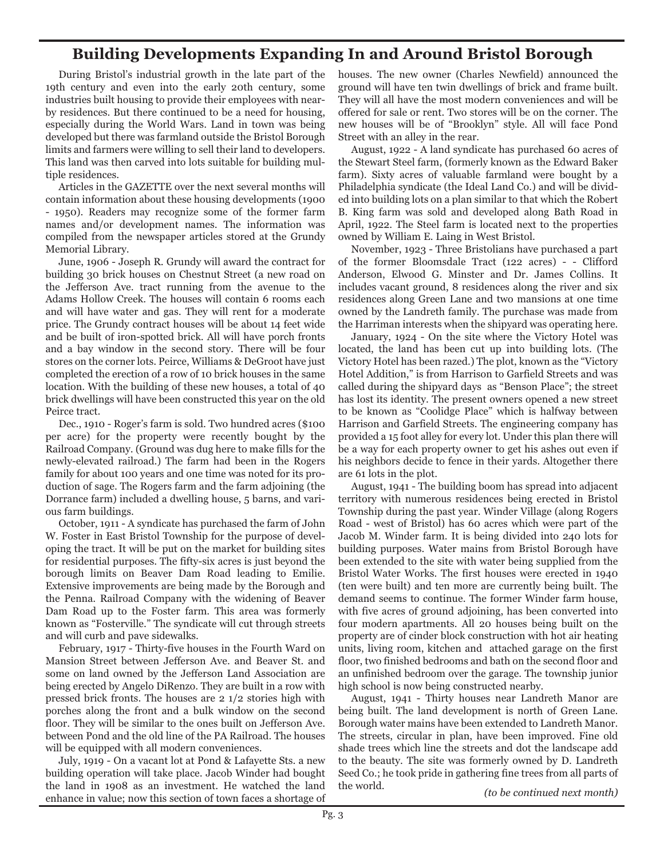### **Building Developments Expanding In and Around Bristol Borough**

During Bristol's industrial growth in the late part of the 19th century and even into the early 20th century, some industries built housing to provide their employees with nearby residences. But there continued to be a need for housing, especially during the World Wars. Land in town was being developed but there was farmland outside the Bristol Borough limits and farmers were willing to sell their land to developers. This land was then carved into lots suitable for building multiple residences.

Articles in the GAZETTE over the next several months will contain information about these housing developments (1900 - 1950). Readers may recognize some of the former farm names and/or development names. The information was compiled from the newspaper articles stored at the Grundy Memorial Library.

June, 1906 - Joseph R. Grundy will award the contract for building 30 brick houses on Chestnut Street (a new road on the Jefferson Ave. tract running from the avenue to the Adams Hollow Creek. The houses will contain 6 rooms each and will have water and gas. They will rent for a moderate price. The Grundy contract houses will be about 14 feet wide and be built of iron-spotted brick. All will have porch fronts and a bay window in the second story. There will be four stores on the corner lots. Peirce, Williams & DeGroot have just completed the erection of a row of 10 brick houses in the same location. With the building of these new houses, a total of 40 brick dwellings will have been constructed this year on the old Peirce tract.

Dec., 1910 - Roger's farm is sold. Two hundred acres (\$100 per acre) for the property were recently bought by the Railroad Company. (Ground was dug here to make fills for the newly-elevated railroad.) The farm had been in the Rogers family for about 100 years and one time was noted for its production of sage. The Rogers farm and the farm adjoining (the Dorrance farm) included a dwelling house, 5 barns, and various farm buildings.

October, 1911 - A syndicate has purchased the farm of John W. Foster in East Bristol Township for the purpose of developing the tract. It will be put on the market for building sites for residential purposes. The fifty-six acres is just beyond the borough limits on Beaver Dam Road leading to Emilie. Extensive improvements are being made by the Borough and the Penna. Railroad Company with the widening of Beaver Dam Road up to the Foster farm. This area was formerly known as "Fosterville." The syndicate will cut through streets and will curb and pave sidewalks.

February, 1917 - Thirty-five houses in the Fourth Ward on Mansion Street between Jefferson Ave. and Beaver St. and some on land owned by the Jefferson Land Association are being erected by Angelo DiRenzo. They are built in a row with pressed brick fronts. The houses are 2 1/2 stories high with porches along the front and a bulk window on the second floor. They will be similar to the ones built on Jefferson Ave. between Pond and the old line of the PA Railroad. The houses will be equipped with all modern conveniences.

July, 1919 - On a vacant lot at Pond & Lafayette Sts. a new building operation will take place. Jacob Winder had bought the land in 1908 as an investment. He watched the land enhance in value; now this section of town faces a shortage of houses. The new owner (Charles Newfield) announced the ground will have ten twin dwellings of brick and frame built. They will all have the most modern conveniences and will be offered for sale or rent. Two stores will be on the corner. The new houses will be of "Brooklyn" style. All will face Pond Street with an alley in the rear.

August, 1922 - A land syndicate has purchased 60 acres of the Stewart Steel farm, (formerly known as the Edward Baker farm). Sixty acres of valuable farmland were bought by a Philadelphia syndicate (the Ideal Land Co.) and will be divided into building lots on a plan similar to that which the Robert B. King farm was sold and developed along Bath Road in April, 1922. The Steel farm is located next to the properties owned by William E. Laing in West Bristol.

November, 1923 - Three Bristolians have purchased a part of the former Bloomsdale Tract (122 acres) - - Clifford Anderson, Elwood G. Minster and Dr. James Collins. It includes vacant ground, 8 residences along the river and six residences along Green Lane and two mansions at one time owned by the Landreth family. The purchase was made from the Harriman interests when the shipyard was operating here.

January, 1924 - On the site where the Victory Hotel was located, the land has been cut up into building lots. (The Victory Hotel has been razed.) The plot, known as the "Victory Hotel Addition," is from Harrison to Garfield Streets and was called during the shipyard days as "Benson Place"; the street has lost its identity. The present owners opened a new street to be known as "Coolidge Place" which is halfway between Harrison and Garfield Streets. The engineering company has provided a 15 foot alley for every lot. Under this plan there will be a way for each property owner to get his ashes out even if his neighbors decide to fence in their yards. Altogether there are 61 lots in the plot.

August, 1941 - The building boom has spread into adjacent territory with numerous residences being erected in Bristol Township during the past year. Winder Village (along Rogers Road - west of Bristol) has 60 acres which were part of the Jacob M. Winder farm. It is being divided into 240 lots for building purposes. Water mains from Bristol Borough have been extended to the site with water being supplied from the Bristol Water Works. The first houses were erected in 1940 (ten were built) and ten more are currently being built. The demand seems to continue. The former Winder farm house, with five acres of ground adjoining, has been converted into four modern apartments. All 20 houses being built on the property are of cinder block construction with hot air heating units, living room, kitchen and attached garage on the first floor, two finished bedrooms and bath on the second floor and an unfinished bedroom over the garage. The township junior high school is now being constructed nearby.

August, 1941 - Thirty houses near Landreth Manor are being built. The land development is north of Green Lane. Borough water mains have been extended to Landreth Manor. The streets, circular in plan, have been improved. Fine old shade trees which line the streets and dot the landscape add to the beauty. The site was formerly owned by D. Landreth Seed Co.; he took pride in gathering fine trees from all parts of the world. *(to be continued next month)*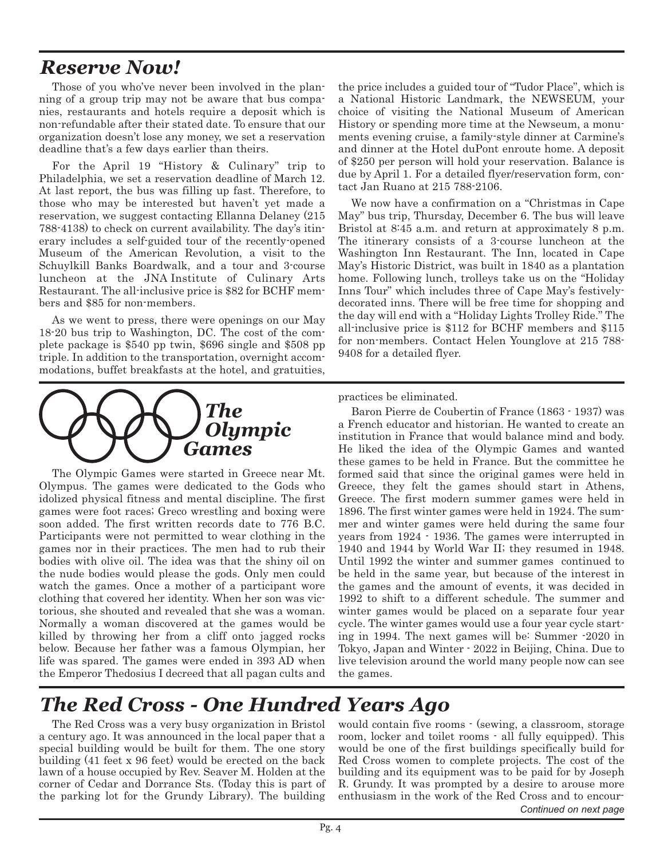## *Reserve Now!*

Those of you who've never been involved in the planning of a group trip may not be aware that bus companies, restaurants and hotels require a deposit which is non-refundable after their stated date. To ensure that our organization doesn't lose any money, we set a reservation deadline that's a few days earlier than theirs.

For the April 19 "History & Culinary" trip to Philadelphia, we set a reservation deadline of March 12. At last report, the bus was filling up fast. Therefore, to those who may be interested but haven't yet made a reservation, we suggest contacting Ellanna Delaney (215 788-4138) to check on current availability. The day's itinerary includes a self-guided tour of the recently-opened Museum of the American Revolution, a visit to the Schuylkill Banks Boardwalk, and a tour and 3-course luncheon at the JNA Institute of Culinary Arts Restaurant. The all-inclusive price is \$82 for BCHF members and \$85 for non-members.

As we went to press, there were openings on our May 18-20 bus trip to Washington, DC. The cost of the complete package is \$540 pp twin, \$696 single and \$508 pp triple. In addition to the transportation, overnight accommodations, buffet breakfasts at the hotel, and gratuities,



The Olympic Games were started in Greece near Mt. Olympus. The games were dedicated to the Gods who idolized physical fitness and mental discipline. The first games were foot races; Greco wrestling and boxing were soon added. The first written records date to 776 B.C. Participants were not permitted to wear clothing in the games nor in their practices. The men had to rub their bodies with olive oil. The idea was that the shiny oil on the nude bodies would please the gods. Only men could watch the games. Once a mother of a participant wore clothing that covered her identity. When her son was victorious, she shouted and revealed that she was a woman. Normally a woman discovered at the games would be killed by throwing her from a cliff onto jagged rocks below. Because her father was a famous Olympian, her life was spared. The games were ended in 393 AD when the Emperor Thedosius I decreed that all pagan cults and

the price includes a guided tour of "Tudor Place", which is a National Historic Landmark, the NEWSEUM, your choice of visiting the National Museum of American History or spending more time at the Newseum, a monuments evening cruise, a family-style dinner at Carmine's and dinner at the Hotel duPont enroute home. A deposit of \$250 per person will hold your reservation. Balance is due by April 1. For a detailed flyer/reservation form, contact Jan Ruano at 215 788-2106.

We now have a confirmation on a "Christmas in Cape May" bus trip, Thursday, December 6. The bus will leave Bristol at 8:45 a.m. and return at approximately 8 p.m. The itinerary consists of a 3-course luncheon at the Washington Inn Restaurant. The Inn, located in Cape May's Historic District, was built in 1840 as a plantation home. Following lunch, trolleys take us on the "Holiday Inns Tour" which includes three of Cape May's festivelydecorated inns. There will be free time for shopping and the day will end with a "Holiday Lights Trolley Ride." The all-inclusive price is \$112 for BCHF members and \$115 for non-members. Contact Helen Younglove at 215 788- 9408 for a detailed flyer.

practices be eliminated.

Baron Pierre de Coubertin of France (1863 - 1937) was a French educator and historian. He wanted to create an institution in France that would balance mind and body. He liked the idea of the Olympic Games and wanted these games to be held in France. But the committee he formed said that since the original games were held in Greece, they felt the games should start in Athens, Greece. The first modern summer games were held in 1896. The first winter games were held in 1924. The summer and winter games were held during the same four years from 1924 - 1936. The games were interrupted in 1940 and 1944 by World War II; they resumed in 1948. Until 1992 the winter and summer games continued to be held in the same year, but because of the interest in the games and the amount of events, it was decided in 1992 to shift to a different schedule. The summer and winter games would be placed on a separate four year cycle. The winter games would use a four year cycle starting in 1994. The next games will be: Summer -2020 in Tokyo, Japan and Winter - 2022 in Beijing, China. Due to live television around the world many people now can see the games.

## *The Red Cross - One Hundred Years Ago*

The Red Cross was a very busy organization in Bristol a century ago. It was announced in the local paper that a special building would be built for them. The one story building (41 feet x 96 feet) would be erected on the back lawn of a house occupied by Rev. Seaver M. Holden at the corner of Cedar and Dorrance Sts. (Today this is part of the parking lot for the Grundy Library). The building

would contain five rooms - (sewing, a classroom, storage room, locker and toilet rooms - all fully equipped). This would be one of the first buildings specifically build for Red Cross women to complete projects. The cost of the building and its equipment was to be paid for by Joseph R. Grundy. It was prompted by a desire to arouse more enthusiasm in the work of the Red Cross and to encour-*Continued on next page*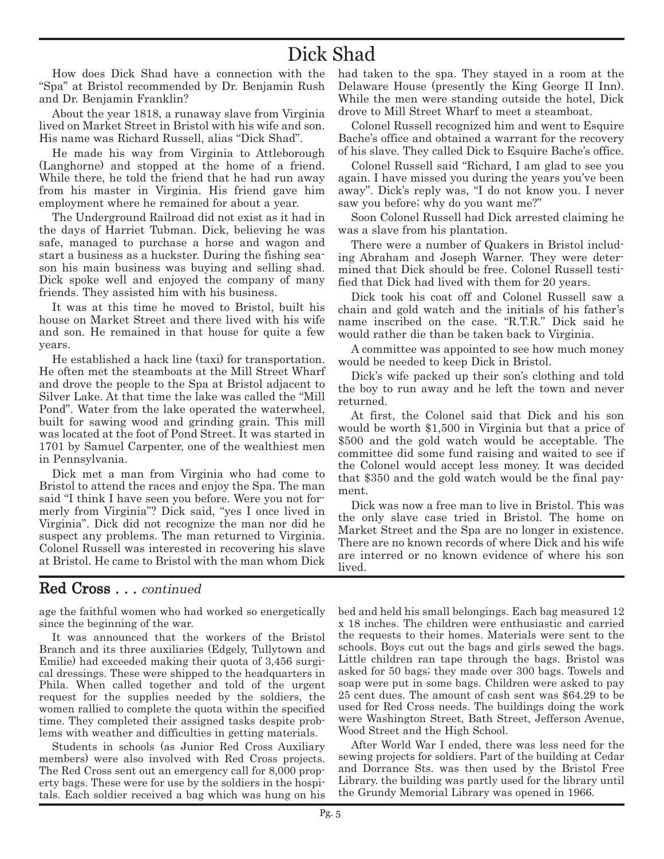## Dick Shad

How does Dick Shad have a connection with the "Spa" at Bristol recommended by Dr. Benjamin Rush and Dr. Benjamin Franklin?

About the year 1818, a runaway slave from Virginia lived on Market Street in Bristol with his wife and son. His name was Richard Russell, alias "Dick Shad".

He made his way from Virginia to Attleborough (Langhorne) and stopped at the home of a friend. While there, he told the friend that he had run away from his master in Virginia. His friend gave him employment where he remained for about a year.

The Underground Railroad did not exist as it had in the days of Harriet Tubman. Dick, believing he was safe, managed to purchase a horse and wagon and start a business as a huckster. During the fishing season his main business was buying and selling shad. Dick spoke well and enjoyed the company of many friends. They assisted him with his business.

It was at this time he moved to Bristol, built his house on Market Street and there lived with his wife and son. He remained in that house for quite a few years.

He established a hack line (taxi) for transportation. He often met the steamboats at the Mill Street Wharf and drove the people to the Spa at Bristol adjacent to Silver Lake. At that time the lake was called the "Mill Pond". Water from the lake operated the waterwheel, built for sawing wood and grinding grain. This mill was located at the foot of Pond Street. It was started in 1701 by Samuel Carpenter, one of the wealthiest men in Pennsylvania.

Dick met a man from Virginia who had come to Bristol to attend the races and enjoy the Spa. The man said "I think I have seen you before. Were you not formerly from Virginia"? Dick said, "yes I once lived in Virginia". Dick did not recognize the man nor did he suspect any problems. The man returned to Virginia. Colonel Russell was interested in recovering his slave at Bristol. He came to Bristol with the man whom Dick

had taken to the spa. They stayed in a room at the Delaware House (presently the King George II Inn). While the men were standing outside the hotel, Dick drove to Mill Street Wharf to meet a steamboat.

Colonel Russell recognized him and went to Esquire Bache's office and obtained a warrant for the recovery of his slave. They called Dick to Esquire Bache's office.

Colonel Russell said "Richard, I am glad to see you again. I have missed you during the years you've been away". Dick's reply was, "I do not know you. I never saw you before; why do you want me?"

Soon Colonel Russell had Dick arrested claiming he was a slave from his plantation.

There were a number of Quakers in Bristol including Abraham and Joseph Warner. They were determined that Dick should be free. Colonel Russell testified that Dick had lived with them for 20 years.

Dick took his coat off and Colonel Russell saw a chain and gold watch and the initials of his father's name inscribed on the case. "R.T.R." Dick said he would rather die than be taken back to Virginia.

A committee was appointed to see how much money would be needed to keep Dick in Bristol.

Dick's wife packed up their son's clothing and told the boy to run away and he left the town and never returned.

At first, the Colonel said that Dick and his son would be worth \$1,500 in Virginia but that a price of \$500 and the gold watch would be acceptable. The committee did some fund raising and waited to see if the Colonel would accept less money. It was decided that \$350 and the gold watch would be the final payment.

Dick was now a free man to live in Bristol. This was the only slave case tried in Bristol. The home on Market Street and the Spa are no longer in existence. There are no known records of where Dick and his wife are interred or no known evidence of where his son lived.

#### Red Cross . . . continued

age the faithful women who had worked so energetically since the beginning of the war.

It was announced that the workers of the Bristol Branch and its three auxiliaries (Edgely, Tullytown and Emilie) had exceeded making their quota of 3,456 surgical dressings. These were shipped to the headquarters in Phila. When called together and told of the urgent request for the supplies needed by the soldiers, the women rallied to complete the quota within the specified time. They completed their assigned tasks despite problems with weather and difficulties in getting materials.

Students in schools (as Junior Red Cross Auxiliary members) were also involved with Red Cross projects. The Red Cross sent out an emergency call for 8,000 property bags. These were for use by the soldiers in the hospitals. Each soldier received a bag which was hung on his bed and held his small belongings. Each bag measured 12 x 18 inches. The children were enthusiastic and carried the requests to their homes. Materials were sent to the schools. Boys cut out the bags and girls sewed the bags. Little children ran tape through the bags. Bristol was asked for 50 bags; they made over 300 bags. Towels and soap were put in some bags. Children were asked to pay 25 cent dues. The amount of cash sent was \$64.29 to be used for Red Cross needs. The buildings doing the work were Washington Street, Bath Street, Jefferson Avenue, Wood Street and the High School.

After World War I ended, there was less need for the sewing projects for soldiers. Part of the building at Cedar and Dorrance Sts. was then used by the Bristol Free Library. the building was partly used for the library until the Grundy Memorial Library was opened in 1966.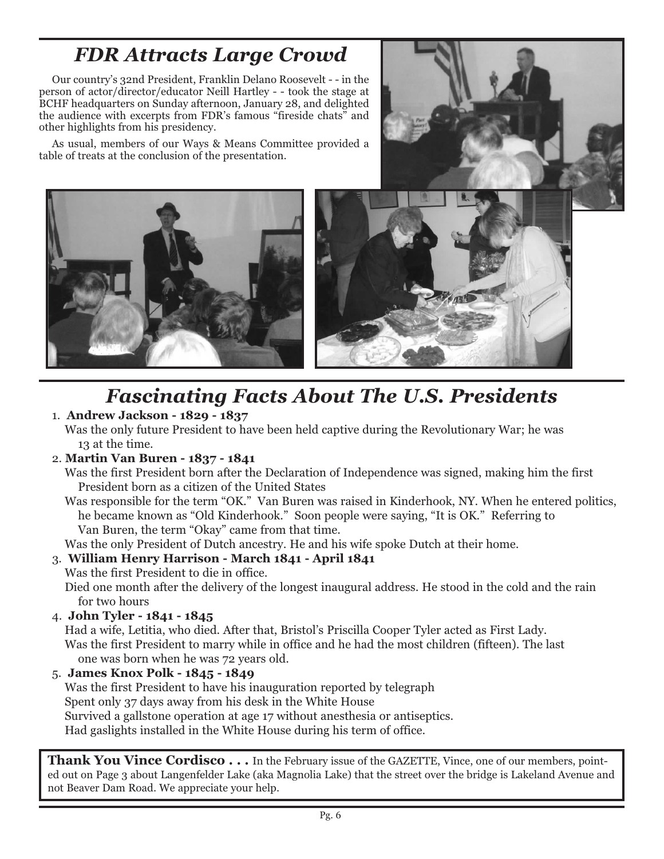## *FDR Attracts Large Crowd*

Our country's 32nd President, Franklin Delano Roosevelt - - in the person of actor/director/educator Neill Hartley - - took the stage at BCHF headquarters on Sunday afternoon, January 28, and delighted the audience with excerpts from FDR's famous "fireside chats" and other highlights from his presidency.

As usual, members of our Ways & Means Committee provided a table of treats at the conclusion of the presentation.





# *Fascinating Facts About The U.S. Presidents*

#### 1. **Andrew Jackson - 1829 - 1837**

Was the only future President to have been held captive during the Revolutionary War; he was 13 at the time.

#### 2. **Martin Van Buren - 1837 - 1841**

Was the first President born after the Declaration of Independence was signed, making him the first President born as a citizen of the United States

Was responsible for the term "OK." Van Buren was raised in Kinderhook, NY. When he entered politics, he became known as "Old Kinderhook." Soon people were saying, "It is OK." Referring to Van Buren, the term "Okay" came from that time.

Was the only President of Dutch ancestry. He and his wife spoke Dutch at their home.

#### 3. **William Henry Harrison - March 1841 - April 1841**

Was the first President to die in office.

Died one month after the delivery of the longest inaugural address. He stood in the cold and the rain for two hours

4. **John Tyler - 1841 - 1845**

Had a wife, Letitia, who died. After that, Bristol's Priscilla Cooper Tyler acted as First Lady. Was the first President to marry while in office and he had the most children (fifteen). The last one was born when he was 72 years old.

5. **James Knox Polk - 1845 - 1849** Was the first President to have his inauguration reported by telegraph Spent only 37 days away from his desk in the White House Survived a gallstone operation at age 17 without anesthesia or antiseptics. Had gaslights installed in the White House during his term of office.

**Thank You Vince Cordisco . . .** In the February issue of the GAZETTE, Vince, one of our members, pointed out on Page 3 about Langenfelder Lake (aka Magnolia Lake) that the street over the bridge is Lakeland Avenue and not Beaver Dam Road. We appreciate your help.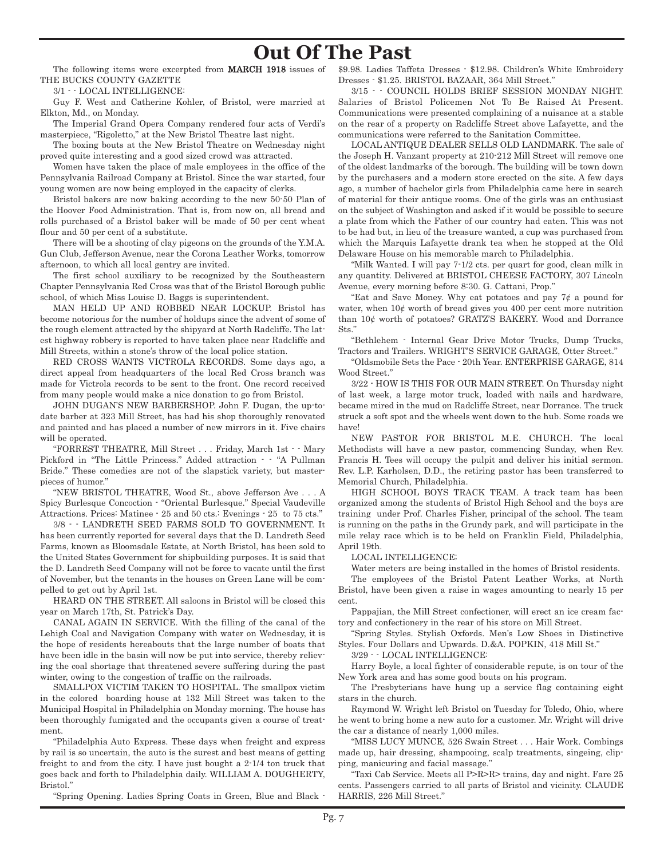### **Out Of The Past**

The following items were excerpted from **MARCH 1918** issues of THE BUCKS COUNTY GAZETTE

3/1 - - LOCAL INTELLIGENCE:

Guy F. West and Catherine Kohler, of Bristol, were married at Elkton, Md., on Monday.

The Imperial Grand Opera Company rendered four acts of Verdi's masterpiece, "Rigoletto," at the New Bristol Theatre last night.

The boxing bouts at the New Bristol Theatre on Wednesday night proved quite interesting and a good sized crowd was attracted.

Women have taken the place of male employees in the office of the Pennsylvania Railroad Company at Bristol. Since the war started, four young women are now being employed in the capacity of clerks.

Bristol bakers are now baking according to the new 50-50 Plan of the Hoover Food Administration. That is, from now on, all bread and rolls purchased of a Bristol baker will be made of 50 per cent wheat flour and 50 per cent of a substitute.

There will be a shooting of clay pigeons on the grounds of the Y.M.A. Gun Club, Jefferson Avenue, near the Corona Leather Works, tomorrow afternoon, to which all local gentry are invited.

The first school auxiliary to be recognized by the Southeastern Chapter Pennsylvania Red Cross was that of the Bristol Borough public school, of which Miss Louise D. Baggs is superintendent.

MAN HELD UP AND ROBBED NEAR LOCKUP. Bristol has become notorious for the number of holdups since the advent of some of the rough element attracted by the shipyard at North Radcliffe. The latest highway robbery is reported to have taken place near Radcliffe and Mill Streets, within a stone's throw of the local police station.

RED CROSS WANTS VICTROLA RECORDS. Some days ago, a direct appeal from headquarters of the local Red Cross branch was made for Victrola records to be sent to the front. One record received from many people would make a nice donation to go from Bristol.

JOHN DUGAN'S NEW BARBERSHOP. John F. Dugan, the up-todate barber at 323 Mill Street, has had his shop thoroughly renovated and painted and has placed a number of new mirrors in it. Five chairs will be operated.

"FORREST THEATRE, Mill Street . . . Friday, March 1st - - Mary Pickford in "The Little Princess." Added attraction - - "A Pullman Bride." These comedies are not of the slapstick variety, but masterpieces of humor."

"NEW BRISTOL THEATRE, Wood St., above Jefferson Ave . . . A Spicy Burlesque Concoction - "Oriental Burlesque." Special Vaudeville Attractions. Prices: Matinee - 25 and 50 cts.: Evenings - 25 to 75 cts."

3/8 - - LANDRETH SEED FARMS SOLD TO GOVERNMENT. It has been currently reported for several days that the D. Landreth Seed Farms, known as Bloomsdale Estate, at North Bristol, has been sold to the United States Government for shipbuilding purposes. It is said that the D. Landreth Seed Company will not be force to vacate until the first of November, but the tenants in the houses on Green Lane will be compelled to get out by April 1st.

HEARD ON THE STREET. All saloons in Bristol will be closed this year on March 17th, St. Patrick's Day.

CANAL AGAIN IN SERVICE. With the filling of the canal of the Lehigh Coal and Navigation Company with water on Wednesday, it is the hope of residents hereabouts that the large number of boats that have been idle in the basin will now be put into service, thereby relieving the coal shortage that threatened severe suffering during the past winter, owing to the congestion of traffic on the railroads.

SMALLPOX VICTIM TAKEN TO HOSPITAL. The smallpox victim in the colored boarding house at 132 Mill Street was taken to the Municipal Hospital in Philadelphia on Monday morning. The house has been thoroughly fumigated and the occupants given a course of treatment.

"Philadelphia Auto Express. These days when freight and express by rail is so uncertain, the auto is the surest and best means of getting freight to and from the city. I have just bought a 2-1/4 ton truck that goes back and forth to Philadelphia daily. WILLIAM A. DOUGHERTY, Bristol."

"Spring Opening. Ladies Spring Coats in Green, Blue and Black -

\$9.98. Ladies Taffeta Dresses - \$12.98. Children's White Embroidery Dresses - \$1.25. BRISTOL BAZAAR, 364 Mill Street."

3/15 - - COUNCIL HOLDS BRIEF SESSION MONDAY NIGHT. Salaries of Bristol Policemen Not To Be Raised At Present. Communications were presented complaining of a nuisance at a stable on the rear of a property on Radcliffe Street above Lafayette, and the communications were referred to the Sanitation Committee.

LOCAL ANTIQUE DEALER SELLS OLD LANDMARK. The sale of the Joseph H. Vanzant property at 210-212 Mill Street will remove one of the oldest landmarks of the borough. The building will be town down by the purchasers and a modern store erected on the site. A few days ago, a number of bachelor girls from Philadelphia came here in search of material for their antique rooms. One of the girls was an enthusiast on the subject of Washington and asked if it would be possible to secure a plate from which the Father of our country had eaten. This was not to be had but, in lieu of the treasure wanted, a cup was purchased from which the Marquis Lafayette drank tea when he stopped at the Old Delaware House on his memorable march to Philadelphia.

"Milk Wanted. I will pay 7-1/2 cts. per quart for good, clean milk in any quantity. Delivered at BRISTOL CHEESE FACTORY, 307 Lincoln Avenue, every morning before 8:30. G. Cattani, Prop."

"Eat and Save Money. Why eat potatoes and pay  $7¢$  a pound for water, when  $10¢$  worth of bread gives you 400 per cent more nutrition than 10¢ worth of potatoes? GRATZ'S BAKERY. Wood and Dorrance Sts."

"Bethlehem - Internal Gear Drive Motor Trucks, Dump Trucks, Tractors and Trailers. WRIGHT'S SERVICE GARAGE, Otter Street."

"Oldsmobile Sets the Pace - 20th Year. ENTERPRISE GARAGE, 814 Wood Street."

3/22 - HOW IS THIS FOR OUR MAIN STREET. On Thursday night of last week, a large motor truck, loaded with nails and hardware, became mired in the mud on Radcliffe Street, near Dorrance. The truck struck a soft spot and the wheels went down to the hub. Some roads we have!

NEW PASTOR FOR BRISTOL M.E. CHURCH. The local Methodists will have a new pastor, commencing Sunday, when Rev. Francis H. Tees will occupy the pulpit and deliver his initial sermon. Rev. L.P. Karholsen, D.D., the retiring pastor has been transferred to Memorial Church, Philadelphia.

HIGH SCHOOL BOYS TRACK TEAM. A track team has been organized among the students of Bristol High School and the boys are training under Prof. Charles Fisher, principal of the school. The team is running on the paths in the Grundy park, and will participate in the mile relay race which is to be held on Franklin Field, Philadelphia, April 19th.

LOCAL INTELLIGENCE;

Water meters are being installed in the homes of Bristol residents.

The employees of the Bristol Patent Leather Works, at North Bristol, have been given a raise in wages amounting to nearly 15 per cent.

Pappajian, the Mill Street confectioner, will erect an ice cream factory and confectionery in the rear of his store on Mill Street.

"Spring Styles. Stylish Oxfords. Men's Low Shoes in Distinctive Styles. Four Dollars and Upwards. D.&A. POPKIN, 418 Mill St."

3/29 - - LOCAL INTELLIGENCE:

Harry Boyle, a local fighter of considerable repute, is on tour of the New York area and has some good bouts on his program.

The Presbyterians have hung up a service flag containing eight stars in the church.

Raymond W. Wright left Bristol on Tuesday for Toledo, Ohio, where he went to bring home a new auto for a customer. Mr. Wright will drive the car a distance of nearly 1,000 miles.

"MISS LUCY MUNCE, 526 Swain Street . . . Hair Work. Combings made up, hair dressing, shampooing, scalp treatments, singeing, clipping, manicuring and facial massage."

"Taxi Cab Service. Meets all P>R>R> trains, day and night. Fare 25 cents. Passengers carried to all parts of Bristol and vicinity. CLAUDE HARRIS, 226 Mill Street."